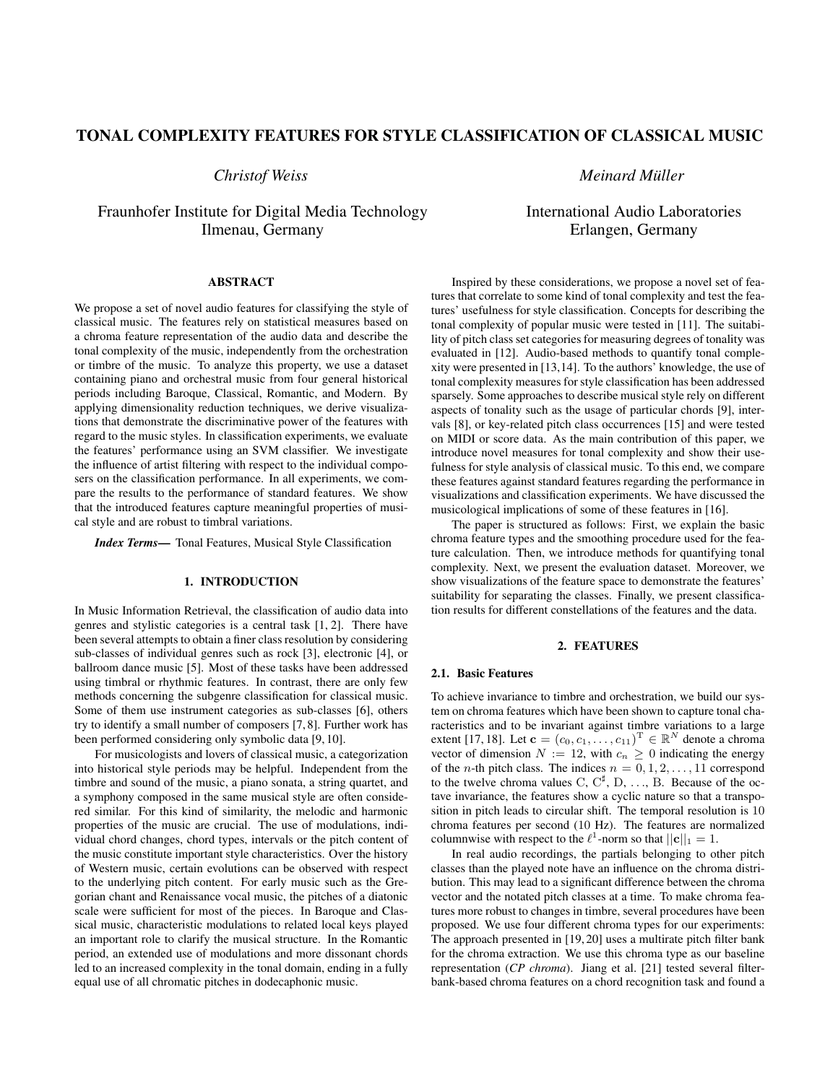# TONAL COMPLEXITY FEATURES FOR STYLE CLASSIFICATION OF CLASSICAL MUSIC

# *Christof Weiss*

# Fraunhofer Institute for Digital Media Technology Ilmenau, Germany

*Meinard Muller ¨*

# International Audio Laboratories Erlangen, Germany

# ABSTRACT

We propose a set of novel audio features for classifying the style of classical music. The features rely on statistical measures based on a chroma feature representation of the audio data and describe the tonal complexity of the music, independently from the orchestration or timbre of the music. To analyze this property, we use a dataset containing piano and orchestral music from four general historical periods including Baroque, Classical, Romantic, and Modern. By applying dimensionality reduction techniques, we derive visualizations that demonstrate the discriminative power of the features with regard to the music styles. In classification experiments, we evaluate the features' performance using an SVM classifier. We investigate the influence of artist filtering with respect to the individual composers on the classification performance. In all experiments, we compare the results to the performance of standard features. We show that the introduced features capture meaningful properties of musical style and are robust to timbral variations.

*Index Terms*— Tonal Features, Musical Style Classification

## 1. INTRODUCTION

In Music Information Retrieval, the classification of audio data into genres and stylistic categories is a central task [1, 2]. There have been several attempts to obtain a finer class resolution by considering sub-classes of individual genres such as rock [3], electronic [4], or ballroom dance music [5]. Most of these tasks have been addressed using timbral or rhythmic features. In contrast, there are only few methods concerning the subgenre classification for classical music. Some of them use instrument categories as sub-classes [6], others try to identify a small number of composers [7, 8]. Further work has been performed considering only symbolic data [9, 10].

For musicologists and lovers of classical music, a categorization into historical style periods may be helpful. Independent from the timbre and sound of the music, a piano sonata, a string quartet, and a symphony composed in the same musical style are often considered similar. For this kind of similarity, the melodic and harmonic properties of the music are crucial. The use of modulations, individual chord changes, chord types, intervals or the pitch content of the music constitute important style characteristics. Over the history of Western music, certain evolutions can be observed with respect to the underlying pitch content. For early music such as the Gregorian chant and Renaissance vocal music, the pitches of a diatonic scale were sufficient for most of the pieces. In Baroque and Classical music, characteristic modulations to related local keys played an important role to clarify the musical structure. In the Romantic period, an extended use of modulations and more dissonant chords led to an increased complexity in the tonal domain, ending in a fully equal use of all chromatic pitches in dodecaphonic music.

Inspired by these considerations, we propose a novel set of features that correlate to some kind of tonal complexity and test the features' usefulness for style classification. Concepts for describing the tonal complexity of popular music were tested in [11]. The suitability of pitch class set categories for measuring degrees of tonality was evaluated in [12]. Audio-based methods to quantify tonal complexity were presented in [13,14]. To the authors' knowledge, the use of tonal complexity measures for style classification has been addressed sparsely. Some approaches to describe musical style rely on different aspects of tonality such as the usage of particular chords [9], intervals [8], or key-related pitch class occurrences [15] and were tested on MIDI or score data. As the main contribution of this paper, we introduce novel measures for tonal complexity and show their usefulness for style analysis of classical music. To this end, we compare these features against standard features regarding the performance in visualizations and classification experiments. We have discussed the musicological implications of some of these features in [16].

The paper is structured as follows: First, we explain the basic chroma feature types and the smoothing procedure used for the feature calculation. Then, we introduce methods for quantifying tonal complexity. Next, we present the evaluation dataset. Moreover, we show visualizations of the feature space to demonstrate the features' suitability for separating the classes. Finally, we present classification results for different constellations of the features and the data.

#### 2. FEATURES

#### 2.1. Basic Features

To achieve invariance to timbre and orchestration, we build our system on chroma features which have been shown to capture tonal characteristics and to be invariant against timbre variations to a large extent [17, 18]. Let  $\mathbf{c} = (c_0, c_1, \dots, c_{11})^{\mathrm{T}} \in \mathbb{R}^N$  denote a chroma vector of dimension  $N := 12$ , with  $c_n \geq 0$  indicating the energy of the *n*-th pitch class. The indices  $n = 0, 1, 2, \ldots, 11$  correspond to the twelve chroma values C,  $C^{\sharp}$ , D, ..., B. Because of the octave invariance, the features show a cyclic nature so that a transposition in pitch leads to circular shift. The temporal resolution is 10 chroma features per second (10 Hz). The features are normalized columnwise with respect to the  $\ell^1$ -norm so that  $||\mathbf{c}||_1 = 1$ .

In real audio recordings, the partials belonging to other pitch classes than the played note have an influence on the chroma distribution. This may lead to a significant difference between the chroma vector and the notated pitch classes at a time. To make chroma features more robust to changes in timbre, several procedures have been proposed. We use four different chroma types for our experiments: The approach presented in [19, 20] uses a multirate pitch filter bank for the chroma extraction. We use this chroma type as our baseline representation (*CP chroma*). Jiang et al. [21] tested several filterbank-based chroma features on a chord recognition task and found a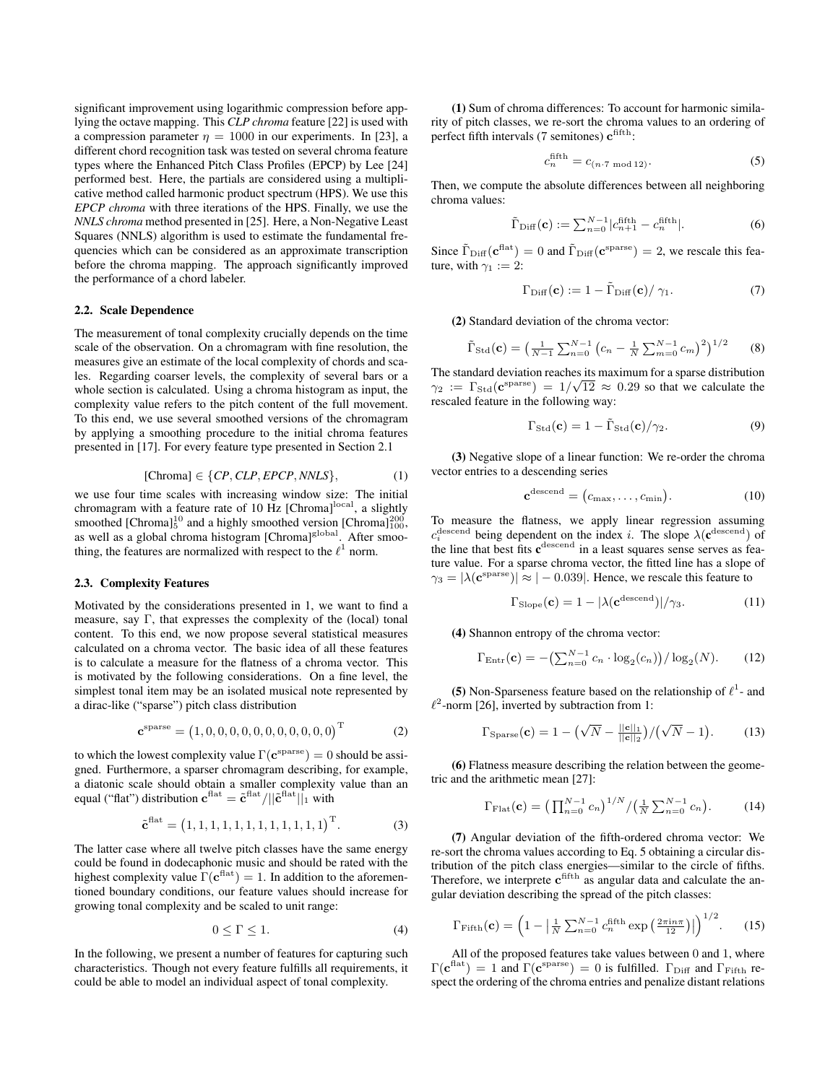significant improvement using logarithmic compression before applying the octave mapping. This *CLP chroma* feature [22] is used with a compression parameter  $\eta = 1000$  in our experiments. In [23], a different chord recognition task was tested on several chroma feature types where the Enhanced Pitch Class Profiles (EPCP) by Lee [24] performed best. Here, the partials are considered using a multiplicative method called harmonic product spectrum (HPS). We use this *EPCP chroma* with three iterations of the HPS. Finally, we use the *NNLS chroma* method presented in [25]. Here, a Non-Negative Least Squares (NNLS) algorithm is used to estimate the fundamental frequencies which can be considered as an approximate transcription before the chroma mapping. The approach significantly improved the performance of a chord labeler.

#### 2.2. Scale Dependence

The measurement of tonal complexity crucially depends on the time scale of the observation. On a chromagram with fine resolution, the measures give an estimate of the local complexity of chords and scales. Regarding coarser levels, the complexity of several bars or a whole section is calculated. Using a chroma histogram as input, the complexity value refers to the pitch content of the full movement. To this end, we use several smoothed versions of the chromagram by applying a smoothing procedure to the initial chroma features presented in [17]. For every feature type presented in Section 2.1

$$
[Chroma] \in \{CP, CLP, EPCP, NNLS\},\tag{1}
$$

we use four time scales with increasing window size: The initial chromagram with a feature rate of 10 Hz [Chroma]<sup>local</sup>, a slightly smoothed [Chroma] $^{10}_{5}$  and a highly smoothed version [Chroma] $^{200}_{100}$ , as well as a global chroma histogram [Chroma]<sup>global</sup>. After smoothing, the features are normalized with respect to the  $\ell^1$  norm.

#### 2.3. Complexity Features

Motivated by the considerations presented in 1, we want to find a measure, say Γ, that expresses the complexity of the (local) tonal content. To this end, we now propose several statistical measures calculated on a chroma vector. The basic idea of all these features is to calculate a measure for the flatness of a chroma vector. This is motivated by the following considerations. On a fine level, the simplest tonal item may be an isolated musical note represented by a dirac-like ("sparse") pitch class distribution

$$
\mathbf{c}^{\text{sparse}} = (1, 0, 0, 0, 0, 0, 0, 0, 0, 0, 0, 0)^{\text{T}}
$$
 (2)

to which the lowest complexity value  $\Gamma(\mathbf{c}^{\text{sparse}}) = 0$  should be assigned. Furthermore, a sparser chromagram describing, for example, a diatonic scale should obtain a smaller complexity value than an equal ("flat") distribution  $\mathbf{c}^{\text{flat}} = \tilde{\mathbf{c}}^{\text{flat}} / ||\tilde{\mathbf{c}}^{\text{flat}}||_1$  with

$$
\tilde{\mathbf{c}}^{\text{flat}} = (1, 1, 1, 1, 1, 1, 1, 1, 1, 1, 1, 1)^{\text{T}}.
$$
 (3)

The latter case where all twelve pitch classes have the same energy could be found in dodecaphonic music and should be rated with the highest complexity value  $\Gamma(\mathbf{c}^{\text{flat}}) = 1$ . In addition to the aforementioned boundary conditions, our feature values should increase for growing tonal complexity and be scaled to unit range:

$$
0 \le \Gamma \le 1. \tag{4}
$$

In the following, we present a number of features for capturing such characteristics. Though not every feature fulfills all requirements, it could be able to model an individual aspect of tonal complexity.

(1) Sum of chroma differences: To account for harmonic similarity of pitch classes, we re-sort the chroma values to an ordering of perfect fifth intervals (7 semitones)  $c^{fifth}$ :

$$
c_n^{\text{fifth}} = c_{(n \cdot 7 \text{ mod } 12)}.\tag{5}
$$

Then, we compute the absolute differences between all neighboring chroma values:

$$
\tilde{\Gamma}_{\text{Diff}}(\mathbf{c}) := \sum_{n=0}^{N-1} |c_{n+1}^{\text{fifth}} - c_n^{\text{fifth}}|.
$$
 (6)

Since  $\tilde{\Gamma}_{\text{Diff}}(c^{\text{flat}}) = 0$  and  $\tilde{\Gamma}_{\text{Diff}}(c^{\text{sparse}}) = 2$ , we rescale this feature, with  $\gamma_1 := 2$ :

$$
\Gamma_{\text{Diff}}(\mathbf{c}) := 1 - \tilde{\Gamma}_{\text{Diff}}(\mathbf{c}) / \gamma_1. \tag{7}
$$

(2) Standard deviation of the chroma vector:

$$
\tilde{\Gamma}_{\text{Std}}(\mathbf{c}) = \left(\frac{1}{N-1} \sum_{n=0}^{N-1} \left(c_n - \frac{1}{N} \sum_{m=0}^{N-1} c_m\right)^2\right)^{1/2} \tag{8}
$$

The standard deviation reaches its maximum for a sparse distribution  $\gamma_2 := \Gamma_{\text{Std}}(c^{\text{sparse}}) = 1/\sqrt{12} \approx 0.29$  so that we calculate the rescaled feature in the following way:

$$
\Gamma_{\text{Std}}(\mathbf{c}) = 1 - \tilde{\Gamma}_{\text{Std}}(\mathbf{c}) / \gamma_2.
$$
 (9)

(3) Negative slope of a linear function: We re-order the chroma vector entries to a descending series

$$
\mathbf{c}^{\text{descend}} = (c_{\text{max}}, \dots, c_{\text{min}}). \tag{10}
$$

To measure the flatness, we apply linear regression assuming  $c_i^{\text{descend}}$  being dependent on the index *i*. The slope  $\lambda(\mathbf{c}^{\text{descend}})$  of the line that best fits  $c^{descend}$  in a least squares sense serves as feature value. For a sparse chroma vector, the fitted line has a slope of  $\gamma_3 = |\lambda(\mathbf{c}^{\text{sparse}})| \approx |-0.039|$ . Hence, we rescale this feature to

$$
\Gamma_{\text{Slope}}(\mathbf{c}) = 1 - |\lambda(\mathbf{c}^{\text{descend}})|/\gamma_3.
$$
 (11)

(4) Shannon entropy of the chroma vector:

$$
\Gamma_{\text{Entr}}(\mathbf{c}) = -\left(\sum_{n=0}^{N-1} c_n \cdot \log_2(c_n)\right) / \log_2(N). \tag{12}
$$

(5) Non-Sparseness feature based on the relationship of  $\ell^1$ - and  $\ell^2$ -norm [26], inverted by subtraction from 1:

$$
\Gamma_{\text{Sparse}}(\mathbf{c}) = 1 - \left(\sqrt{N} - \frac{||\mathbf{c}||_1}{||\mathbf{c}||_2}\right) / \left(\sqrt{N} - 1\right). \tag{13}
$$

(6) Flatness measure describing the relation between the geometric and the arithmetic mean [27]:

$$
\Gamma_{\text{Flat}}(\mathbf{c}) = \left(\prod_{n=0}^{N-1} c_n\right)^{1/N} / \left(\frac{1}{N} \sum_{n=0}^{N-1} c_n\right). \tag{14}
$$

(7) Angular deviation of the fifth-ordered chroma vector: We re-sort the chroma values according to Eq. 5 obtaining a circular distribution of the pitch class energies—similar to the circle of fifths. Therefore, we interprete  $c<sup>fifth</sup>$  as angular data and calculate the angular deviation describing the spread of the pitch classes:

$$
\Gamma_{\text{Fifth}}(\mathbf{c}) = \left(1 - \left|\frac{1}{N}\sum_{n=0}^{N-1} c_n^{\text{fifth}} \exp\left(\frac{2\pi i n \pi}{12}\right)\right|\right)^{1/2}.\tag{15}
$$

All of the proposed features take values between 0 and 1, where  $\Gamma(\mathbf{c}^{\text{flat}}) = 1$  and  $\Gamma(\mathbf{c}^{\text{sparse}}) = 0$  is fulfilled.  $\Gamma_{\text{Diff}}$  and  $\Gamma_{\text{Fifth}}$  respect the ordering of the chroma entries and penalize distant relations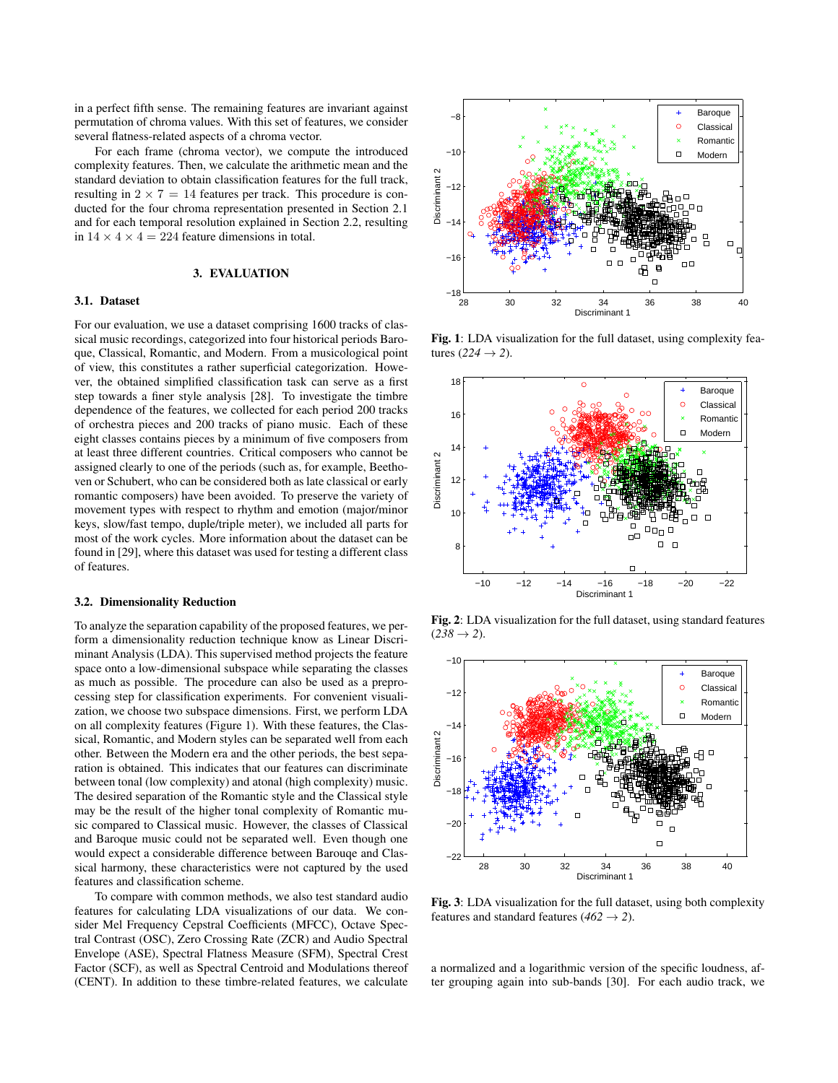in a perfect fifth sense. The remaining features are invariant against permutation of chroma values. With this set of features, we consider several flatness-related aspects of a chroma vector.

For each frame (chroma vector), we compute the introduced complexity features. Then, we calculate the arithmetic mean and the standard deviation to obtain classification features for the full track, resulting in  $2 \times 7 = 14$  features per track. This procedure is conducted for the four chroma representation presented in Section 2.1 and for each temporal resolution explained in Section 2.2, resulting in  $14 \times 4 \times 4 = 224$  feature dimensions in total.

## 3. EVALUATION

## 3.1. Dataset

For our evaluation, we use a dataset comprising 1600 tracks of classical music recordings, categorized into four historical periods Baroque, Classical, Romantic, and Modern. From a musicological point of view, this constitutes a rather superficial categorization. However, the obtained simplified classification task can serve as a first step towards a finer style analysis [28]. To investigate the timbre dependence of the features, we collected for each period 200 tracks of orchestra pieces and 200 tracks of piano music. Each of these eight classes contains pieces by a minimum of five composers from at least three different countries. Critical composers who cannot be assigned clearly to one of the periods (such as, for example, Beethoven or Schubert, who can be considered both as late classical or early romantic composers) have been avoided. To preserve the variety of movement types with respect to rhythm and emotion (major/minor keys, slow/fast tempo, duple/triple meter), we included all parts for most of the work cycles. More information about the dataset can be found in [29], where this dataset was used for testing a different class of features.

#### 3.2. Dimensionality Reduction

To analyze the separation capability of the proposed features, we perform a dimensionality reduction technique know as Linear Discriminant Analysis (LDA). This supervised method projects the feature space onto a low-dimensional subspace while separating the classes as much as possible. The procedure can also be used as a preprocessing step for classification experiments. For convenient visualization, we choose two subspace dimensions. First, we perform LDA on all complexity features (Figure 1). With these features, the Classical, Romantic, and Modern styles can be separated well from each other. Between the Modern era and the other periods, the best separation is obtained. This indicates that our features can discriminate between tonal (low complexity) and atonal (high complexity) music. The desired separation of the Romantic style and the Classical style may be the result of the higher tonal complexity of Romantic music compared to Classical music. However, the classes of Classical and Baroque music could not be separated well. Even though one would expect a considerable difference between Barouqe and Classical harmony, these characteristics were not captured by the used features and classification scheme.

To compare with common methods, we also test standard audio features for calculating LDA visualizations of our data. We consider Mel Frequency Cepstral Coefficients (MFCC), Octave Spectral Contrast (OSC), Zero Crossing Rate (ZCR) and Audio Spectral Envelope (ASE), Spectral Flatness Measure (SFM), Spectral Crest Factor (SCF), as well as Spectral Centroid and Modulations thereof (CENT). In addition to these timbre-related features, we calculate



Fig. 1: LDA visualization for the full dataset, using complexity features  $(224 \rightarrow 2)$ .



Fig. 2: LDA visualization for the full dataset, using standard features  $(238 \rightarrow 2)$ .



Fig. 3: LDA visualization for the full dataset, using both complexity features and standard features ( $462 \rightarrow 2$ ).

a normalized and a logarithmic version of the specific loudness, after grouping again into sub-bands [30]. For each audio track, we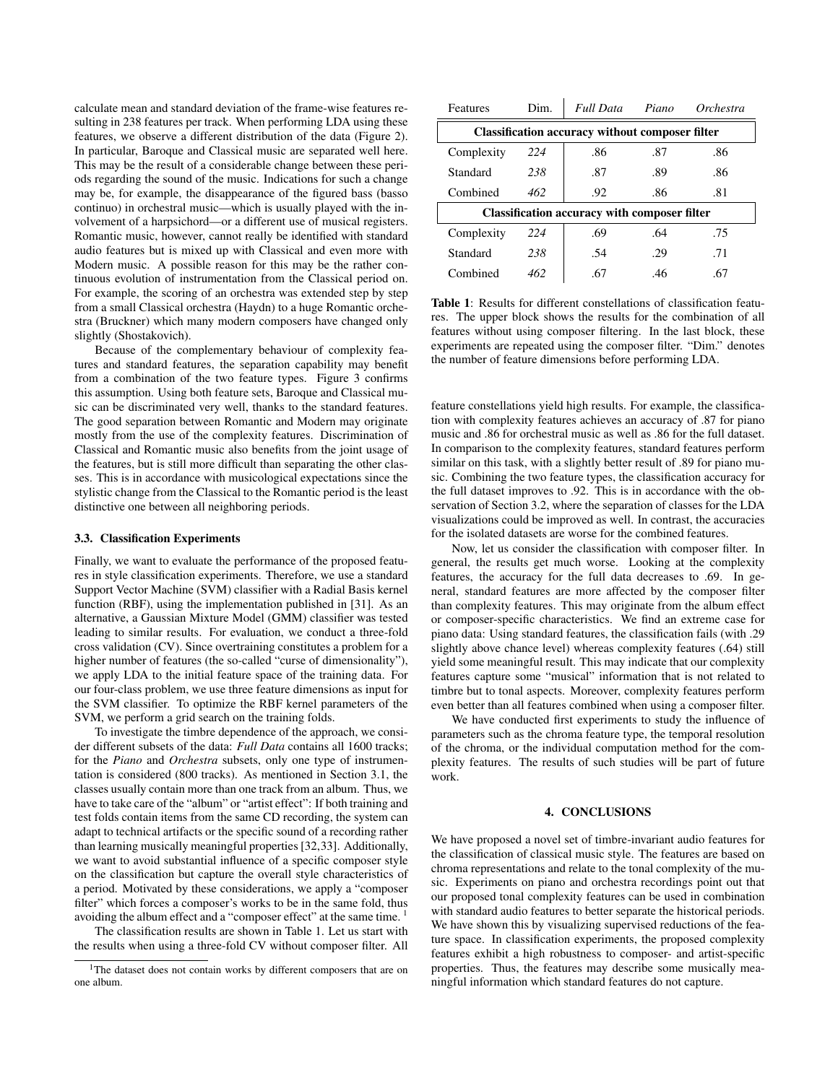calculate mean and standard deviation of the frame-wise features resulting in 238 features per track. When performing LDA using these features, we observe a different distribution of the data (Figure 2). In particular, Baroque and Classical music are separated well here. This may be the result of a considerable change between these periods regarding the sound of the music. Indications for such a change may be, for example, the disappearance of the figured bass (basso continuo) in orchestral music—which is usually played with the involvement of a harpsichord—or a different use of musical registers. Romantic music, however, cannot really be identified with standard audio features but is mixed up with Classical and even more with Modern music. A possible reason for this may be the rather continuous evolution of instrumentation from the Classical period on. For example, the scoring of an orchestra was extended step by step from a small Classical orchestra (Haydn) to a huge Romantic orchestra (Bruckner) which many modern composers have changed only slightly (Shostakovich).

Because of the complementary behaviour of complexity features and standard features, the separation capability may benefit from a combination of the two feature types. Figure 3 confirms this assumption. Using both feature sets, Baroque and Classical music can be discriminated very well, thanks to the standard features. The good separation between Romantic and Modern may originate mostly from the use of the complexity features. Discrimination of Classical and Romantic music also benefits from the joint usage of the features, but is still more difficult than separating the other classes. This is in accordance with musicological expectations since the stylistic change from the Classical to the Romantic period is the least distinctive one between all neighboring periods.

#### 3.3. Classification Experiments

Finally, we want to evaluate the performance of the proposed features in style classification experiments. Therefore, we use a standard Support Vector Machine (SVM) classifier with a Radial Basis kernel function (RBF), using the implementation published in [31]. As an alternative, a Gaussian Mixture Model (GMM) classifier was tested leading to similar results. For evaluation, we conduct a three-fold cross validation (CV). Since overtraining constitutes a problem for a higher number of features (the so-called "curse of dimensionality"), we apply LDA to the initial feature space of the training data. For our four-class problem, we use three feature dimensions as input for the SVM classifier. To optimize the RBF kernel parameters of the SVM, we perform a grid search on the training folds.

To investigate the timbre dependence of the approach, we consider different subsets of the data: *Full Data* contains all 1600 tracks; for the *Piano* and *Orchestra* subsets, only one type of instrumentation is considered (800 tracks). As mentioned in Section 3.1, the classes usually contain more than one track from an album. Thus, we have to take care of the "album" or "artist effect": If both training and test folds contain items from the same CD recording, the system can adapt to technical artifacts or the specific sound of a recording rather than learning musically meaningful properties [32,33]. Additionally, we want to avoid substantial influence of a specific composer style on the classification but capture the overall style characteristics of a period. Motivated by these considerations, we apply a "composer filter" which forces a composer's works to be in the same fold, thus avoiding the album effect and a "composer effect" at the same time.<sup>1</sup>

The classification results are shown in Table 1. Let us start with the results when using a three-fold CV without composer filter. All

| Features                                               | Dim. | <b>Full Data</b> | Piano | Orchestra |
|--------------------------------------------------------|------|------------------|-------|-----------|
| <b>Classification accuracy without composer filter</b> |      |                  |       |           |
| Complexity                                             | 224  | .86              | .87   | .86       |
| Standard                                               | 238  | .87              | .89   | .86       |
| Combined                                               | 462  | .92              | .86   | .81       |
| <b>Classification accuracy with composer filter</b>    |      |                  |       |           |
| Complexity                                             | 224  | .69              | .64   | .75       |
| Standard                                               | 238  | .54              | .29   | .71       |
| Combined                                               | 462  | .67              | .46   | .67       |

Table 1: Results for different constellations of classification features. The upper block shows the results for the combination of all features without using composer filtering. In the last block, these experiments are repeated using the composer filter. "Dim." denotes the number of feature dimensions before performing LDA.

feature constellations yield high results. For example, the classification with complexity features achieves an accuracy of .87 for piano music and .86 for orchestral music as well as .86 for the full dataset. In comparison to the complexity features, standard features perform similar on this task, with a slightly better result of .89 for piano music. Combining the two feature types, the classification accuracy for the full dataset improves to .92. This is in accordance with the observation of Section 3.2, where the separation of classes for the LDA visualizations could be improved as well. In contrast, the accuracies for the isolated datasets are worse for the combined features.

Now, let us consider the classification with composer filter. In general, the results get much worse. Looking at the complexity features, the accuracy for the full data decreases to .69. In general, standard features are more affected by the composer filter than complexity features. This may originate from the album effect or composer-specific characteristics. We find an extreme case for piano data: Using standard features, the classification fails (with .29 slightly above chance level) whereas complexity features (.64) still yield some meaningful result. This may indicate that our complexity features capture some "musical" information that is not related to timbre but to tonal aspects. Moreover, complexity features perform even better than all features combined when using a composer filter.

We have conducted first experiments to study the influence of parameters such as the chroma feature type, the temporal resolution of the chroma, or the individual computation method for the complexity features. The results of such studies will be part of future work.

### 4. CONCLUSIONS

We have proposed a novel set of timbre-invariant audio features for the classification of classical music style. The features are based on chroma representations and relate to the tonal complexity of the music. Experiments on piano and orchestra recordings point out that our proposed tonal complexity features can be used in combination with standard audio features to better separate the historical periods. We have shown this by visualizing supervised reductions of the feature space. In classification experiments, the proposed complexity features exhibit a high robustness to composer- and artist-specific properties. Thus, the features may describe some musically meaningful information which standard features do not capture.

<sup>&</sup>lt;sup>1</sup>The dataset does not contain works by different composers that are on one album.